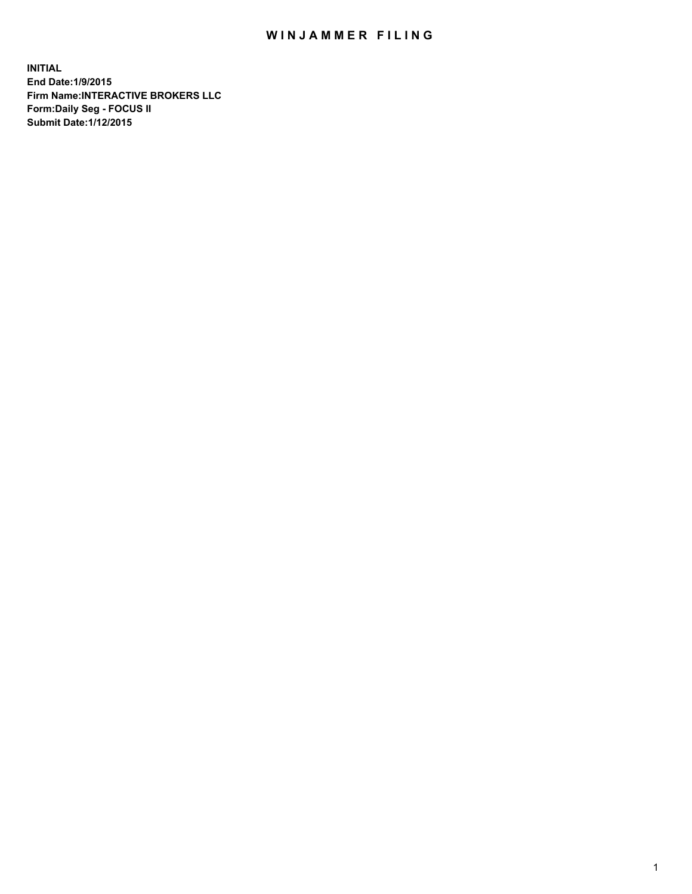## WIN JAMMER FILING

**INITIAL End Date:1/9/2015 Firm Name:INTERACTIVE BROKERS LLC Form:Daily Seg - FOCUS II Submit Date:1/12/2015**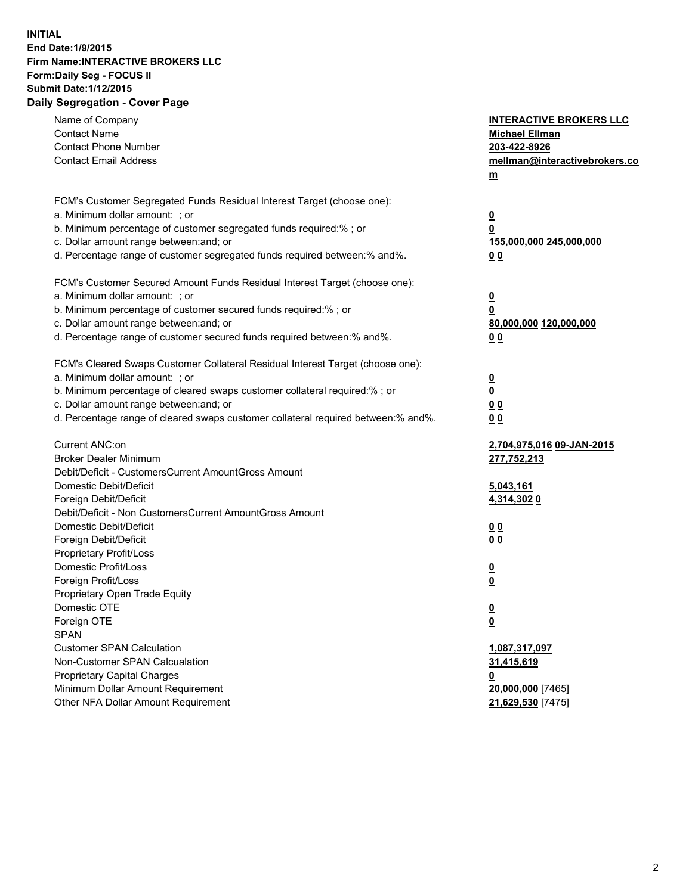## **INITIAL End Date:1/9/2015 Firm Name:INTERACTIVE BROKERS LLC Form:Daily Seg - FOCUS II Submit Date:1/12/2015 Daily Segregation - Cover Page**

| Name of Company                                                                   | <b>INTERACTIVE BROKERS LLC</b> |
|-----------------------------------------------------------------------------------|--------------------------------|
| <b>Contact Name</b>                                                               | <b>Michael Ellman</b>          |
| <b>Contact Phone Number</b>                                                       | 203-422-8926                   |
| <b>Contact Email Address</b>                                                      | mellman@interactivebrokers.co  |
|                                                                                   | $m$                            |
| FCM's Customer Segregated Funds Residual Interest Target (choose one):            |                                |
| a. Minimum dollar amount: ; or                                                    | $\overline{\mathbf{0}}$        |
| b. Minimum percentage of customer segregated funds required:% ; or                | 0                              |
| c. Dollar amount range between: and; or                                           | 155,000,000 245,000,000        |
| d. Percentage range of customer segregated funds required between:% and%.         | 0 <sub>0</sub>                 |
| FCM's Customer Secured Amount Funds Residual Interest Target (choose one):        |                                |
| a. Minimum dollar amount: ; or                                                    | $\overline{\mathbf{0}}$        |
| b. Minimum percentage of customer secured funds required:% ; or                   | 0                              |
| c. Dollar amount range between: and; or                                           | 80,000,000 120,000,000         |
| d. Percentage range of customer secured funds required between:% and%.            | 0 <sub>0</sub>                 |
| FCM's Cleared Swaps Customer Collateral Residual Interest Target (choose one):    |                                |
| a. Minimum dollar amount: ; or                                                    | $\overline{\mathbf{0}}$        |
| b. Minimum percentage of cleared swaps customer collateral required:% ; or        | $\overline{\mathbf{0}}$        |
| c. Dollar amount range between: and; or                                           | 0 <sub>0</sub>                 |
| d. Percentage range of cleared swaps customer collateral required between:% and%. | 0 <sub>0</sub>                 |
|                                                                                   |                                |
| Current ANC:on                                                                    | 2,704,975,016 09-JAN-2015      |
| <b>Broker Dealer Minimum</b>                                                      | 277,752,213                    |
| Debit/Deficit - CustomersCurrent AmountGross Amount                               |                                |
| Domestic Debit/Deficit                                                            | 5,043,161                      |
| Foreign Debit/Deficit                                                             | 4,314,3020                     |
| Debit/Deficit - Non CustomersCurrent AmountGross Amount                           |                                |
| Domestic Debit/Deficit                                                            | 0 <sub>0</sub>                 |
| Foreign Debit/Deficit                                                             | 0 <sub>0</sub>                 |
| Proprietary Profit/Loss                                                           |                                |
| Domestic Profit/Loss                                                              | <u>0</u>                       |
| Foreign Profit/Loss                                                               | $\overline{\mathbf{0}}$        |
| Proprietary Open Trade Equity                                                     |                                |
| Domestic OTE                                                                      | <u>0</u>                       |
| Foreign OTE                                                                       | <u>0</u>                       |
| <b>SPAN</b>                                                                       |                                |
| <b>Customer SPAN Calculation</b>                                                  | 1,087,317,097                  |
| Non-Customer SPAN Calcualation                                                    | <u>31,415,619</u>              |
| Proprietary Capital Charges                                                       | <u>0</u>                       |
| Minimum Dollar Amount Requirement                                                 | 20,000,000 [7465]              |
| Other NFA Dollar Amount Requirement                                               | 21,629,530 [7475]              |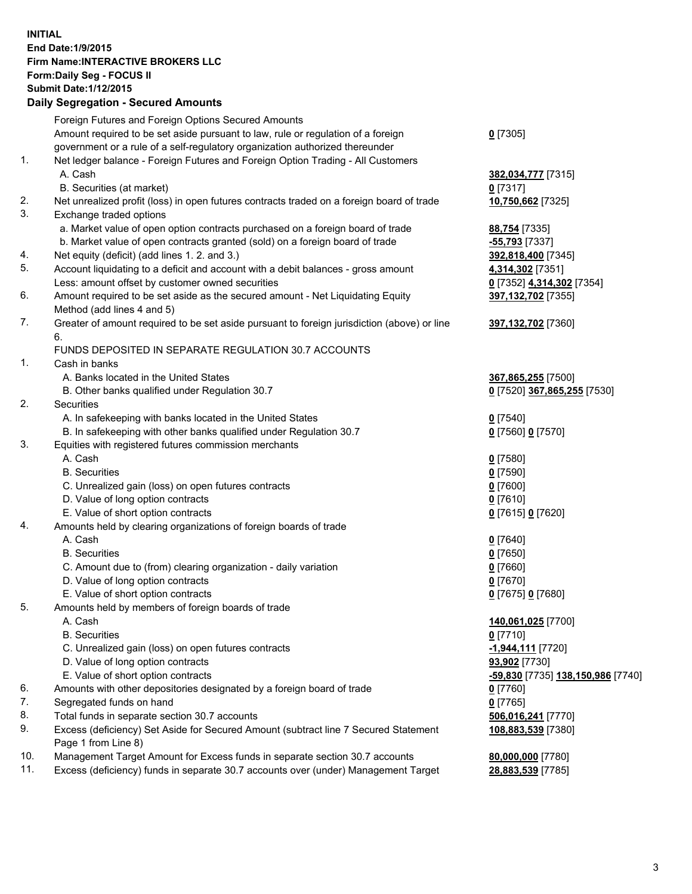## **INITIAL End Date:1/9/2015 Firm Name:INTERACTIVE BROKERS LLC Form:Daily Seg - FOCUS II Submit Date:1/12/2015 Daily Segregation - Secured Amounts**

|     | Daily Segregation - Secured Amounts                                                         |                                   |
|-----|---------------------------------------------------------------------------------------------|-----------------------------------|
|     | Foreign Futures and Foreign Options Secured Amounts                                         |                                   |
|     | Amount required to be set aside pursuant to law, rule or regulation of a foreign            | $0$ [7305]                        |
|     | government or a rule of a self-regulatory organization authorized thereunder                |                                   |
| 1.  | Net ledger balance - Foreign Futures and Foreign Option Trading - All Customers             |                                   |
|     | A. Cash                                                                                     | 382,034,777 [7315]                |
|     | B. Securities (at market)                                                                   | $Q$ [7317]                        |
| 2.  | Net unrealized profit (loss) in open futures contracts traded on a foreign board of trade   | 10,750,662 [7325]                 |
| 3.  | Exchange traded options                                                                     |                                   |
|     | a. Market value of open option contracts purchased on a foreign board of trade              | 88,754 [7335]                     |
|     | b. Market value of open contracts granted (sold) on a foreign board of trade                | -55,793 [7337]                    |
| 4.  | Net equity (deficit) (add lines 1.2. and 3.)                                                | 392,818,400 [7345]                |
| 5.  | Account liquidating to a deficit and account with a debit balances - gross amount           | 4,314,302 [7351]                  |
|     | Less: amount offset by customer owned securities                                            | 0 [7352] 4,314,302 [7354]         |
| 6.  | Amount required to be set aside as the secured amount - Net Liquidating Equity              | 397,132,702 [7355]                |
|     | Method (add lines 4 and 5)                                                                  |                                   |
| 7.  | Greater of amount required to be set aside pursuant to foreign jurisdiction (above) or line | 397,132,702 [7360]                |
|     | 6.                                                                                          |                                   |
|     | FUNDS DEPOSITED IN SEPARATE REGULATION 30.7 ACCOUNTS                                        |                                   |
| 1.  | Cash in banks                                                                               |                                   |
|     | A. Banks located in the United States                                                       | 367,865,255 [7500]                |
|     | B. Other banks qualified under Regulation 30.7                                              | 0 [7520] 367,865,255 [7530]       |
| 2.  | Securities                                                                                  |                                   |
|     | A. In safekeeping with banks located in the United States                                   | $Q$ [7540]                        |
|     | B. In safekeeping with other banks qualified under Regulation 30.7                          | 0 [7560] 0 [7570]                 |
| 3.  | Equities with registered futures commission merchants                                       |                                   |
|     | A. Cash                                                                                     | $0$ [7580]                        |
|     | <b>B.</b> Securities                                                                        | $0$ [7590]                        |
|     | C. Unrealized gain (loss) on open futures contracts                                         | $0$ [7600]                        |
|     | D. Value of long option contracts                                                           | $0$ [7610]                        |
|     | E. Value of short option contracts                                                          | 0 [7615] 0 [7620]                 |
| 4.  | Amounts held by clearing organizations of foreign boards of trade                           |                                   |
|     | A. Cash                                                                                     | $0$ [7640]                        |
|     | <b>B.</b> Securities                                                                        | $0$ [7650]                        |
|     | C. Amount due to (from) clearing organization - daily variation                             | $0$ [7660]                        |
|     | D. Value of long option contracts                                                           | $0$ [7670]                        |
|     | E. Value of short option contracts                                                          | 0 [7675] 0 [7680]                 |
| 5.  | Amounts held by members of foreign boards of trade                                          |                                   |
|     | A. Cash                                                                                     | 140,061,025 [7700]                |
|     | <b>B.</b> Securities                                                                        | $0$ [7710]                        |
|     | C. Unrealized gain (loss) on open futures contracts                                         | -1,944,111 [7720]                 |
|     | D. Value of long option contracts                                                           | 93,902 [7730]                     |
|     | E. Value of short option contracts                                                          | -59,830 [7735] 138,150,986 [7740] |
| 6.  | Amounts with other depositories designated by a foreign board of trade                      | 0 [7760]                          |
| 7.  | Segregated funds on hand                                                                    | $0$ [7765]                        |
| 8.  | Total funds in separate section 30.7 accounts                                               | 506,016,241 [7770]                |
| 9.  | Excess (deficiency) Set Aside for Secured Amount (subtract line 7 Secured Statement         | 108,883,539 [7380]                |
|     | Page 1 from Line 8)                                                                         |                                   |
| 10. | Management Target Amount for Excess funds in separate section 30.7 accounts                 | 80,000,000 [7780]                 |
| 11. | Excess (deficiency) funds in separate 30.7 accounts over (under) Management Target          | 28,883,539 [7785]                 |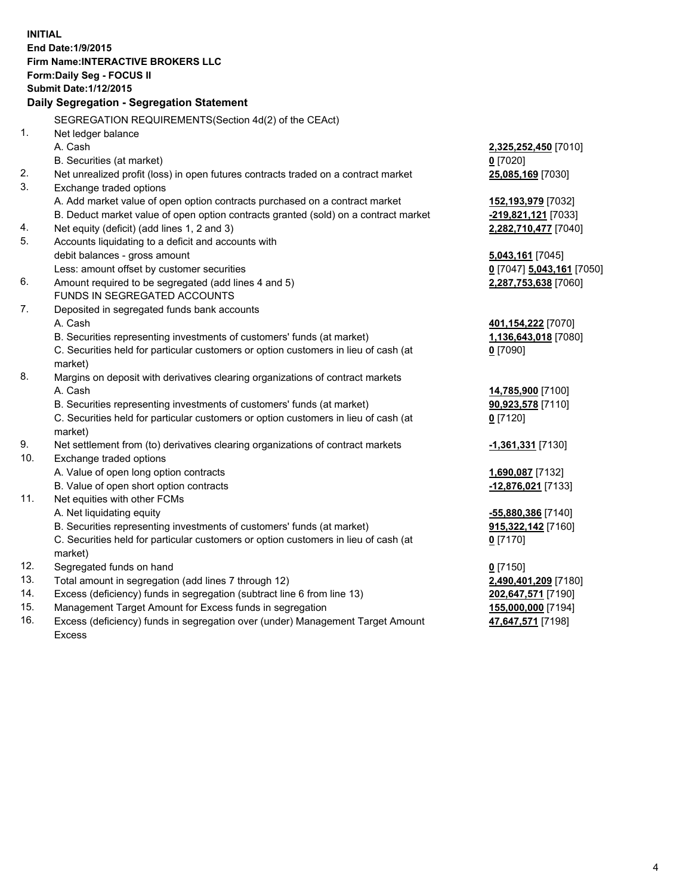**INITIAL End Date:1/9/2015 Firm Name:INTERACTIVE BROKERS LLC Form:Daily Seg - FOCUS II Submit Date:1/12/2015 Daily Segregation - Segregation Statement** SEGREGATION REQUIREMENTS(Section 4d(2) of the CEAct) 1. Net ledger balance A. Cash **2,325,252,450** [7010] B. Securities (at market) **0** [7020] 2. Net unrealized profit (loss) in open futures contracts traded on a contract market **25,085,169** [7030] 3. Exchange traded options A. Add market value of open option contracts purchased on a contract market **152,193,979** [7032] B. Deduct market value of open option contracts granted (sold) on a contract market **-219,821,121** [7033] 4. Net equity (deficit) (add lines 1, 2 and 3) **2,282,710,477** [7040] 5. Accounts liquidating to a deficit and accounts with debit balances - gross amount **5,043,161** [7045] Less: amount offset by customer securities **0** [7047] **5,043,161** [7050] 6. Amount required to be segregated (add lines 4 and 5) **2,287,753,638** [7060] FUNDS IN SEGREGATED ACCOUNTS 7. Deposited in segregated funds bank accounts A. Cash **401,154,222** [7070] B. Securities representing investments of customers' funds (at market) **1,136,643,018** [7080] C. Securities held for particular customers or option customers in lieu of cash (at market) **0** [7090] 8. Margins on deposit with derivatives clearing organizations of contract markets A. Cash **14,785,900** [7100] B. Securities representing investments of customers' funds (at market) **90,923,578** [7110] C. Securities held for particular customers or option customers in lieu of cash (at market) **0** [7120] 9. Net settlement from (to) derivatives clearing organizations of contract markets **-1,361,331** [7130] 10. Exchange traded options A. Value of open long option contracts **1,690,087** [7132] B. Value of open short option contracts **-12,876,021** [7133] 11. Net equities with other FCMs A. Net liquidating equity **-55,880,386** [7140] B. Securities representing investments of customers' funds (at market) **915,322,142** [7160] C. Securities held for particular customers or option customers in lieu of cash (at market) **0** [7170] 12. Segregated funds on hand **0** [7150] 13. Total amount in segregation (add lines 7 through 12) **2,490,401,209** [7180] 14. Excess (deficiency) funds in segregation (subtract line 6 from line 13) **202,647,571** [7190] 15. Management Target Amount for Excess funds in segregation **155,000,000** [7194]

16. Excess (deficiency) funds in segregation over (under) Management Target Amount Excess

**47,647,571** [7198]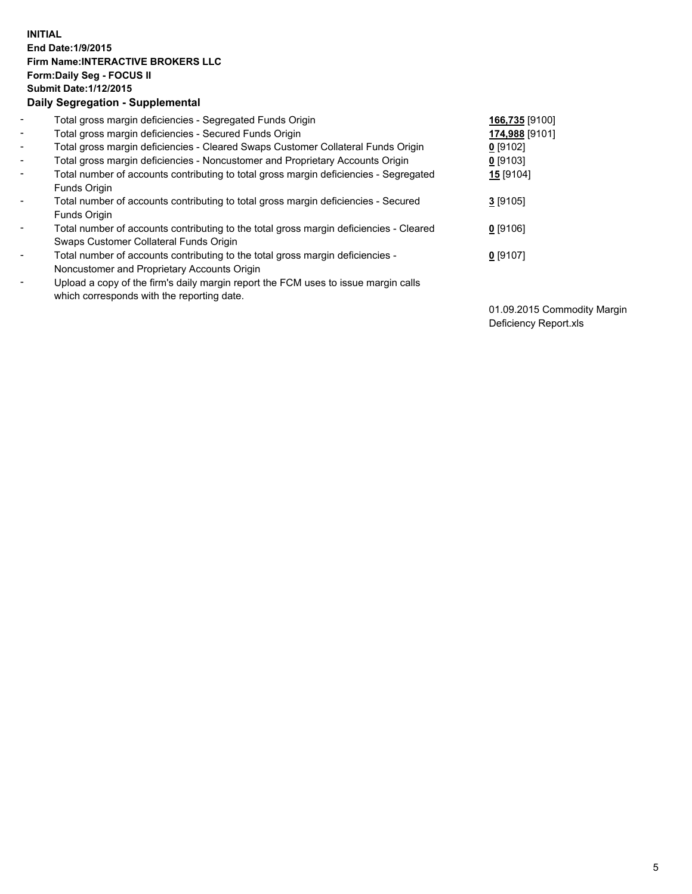## **INITIAL End Date:1/9/2015 Firm Name:INTERACTIVE BROKERS LLC Form:Daily Seg - FOCUS II Submit Date:1/12/2015 Daily Segregation - Supplemental**

| $\blacksquare$               | Total gross margin deficiencies - Segregated Funds Origin                              | 166,735 [9100]   |
|------------------------------|----------------------------------------------------------------------------------------|------------------|
| $\blacksquare$               | Total gross margin deficiencies - Secured Funds Origin                                 | 174,988 [9101]   |
| $\blacksquare$               | Total gross margin deficiencies - Cleared Swaps Customer Collateral Funds Origin       | $0$ [9102]       |
| $\blacksquare$               | Total gross margin deficiencies - Noncustomer and Proprietary Accounts Origin          | $0$ [9103]       |
| $\blacksquare$               | Total number of accounts contributing to total gross margin deficiencies - Segregated  | <b>15</b> [9104] |
|                              | <b>Funds Origin</b>                                                                    |                  |
| $\blacksquare$               | Total number of accounts contributing to total gross margin deficiencies - Secured     | $3$ [9105]       |
|                              | <b>Funds Origin</b>                                                                    |                  |
| $\blacksquare$               | Total number of accounts contributing to the total gross margin deficiencies - Cleared | $0$ [9106]       |
|                              | Swaps Customer Collateral Funds Origin                                                 |                  |
| $\overline{\phantom{a}}$     | Total number of accounts contributing to the total gross margin deficiencies -         | $0$ [9107]       |
|                              | Noncustomer and Proprietary Accounts Origin                                            |                  |
| $\qquad \qquad \blacksquare$ | Upload a copy of the firm's daily margin report the FCM uses to issue margin calls     |                  |
|                              | which corresponds with the reporting date.                                             |                  |

01.09.2015 Commodity Margin Deficiency Report.xls